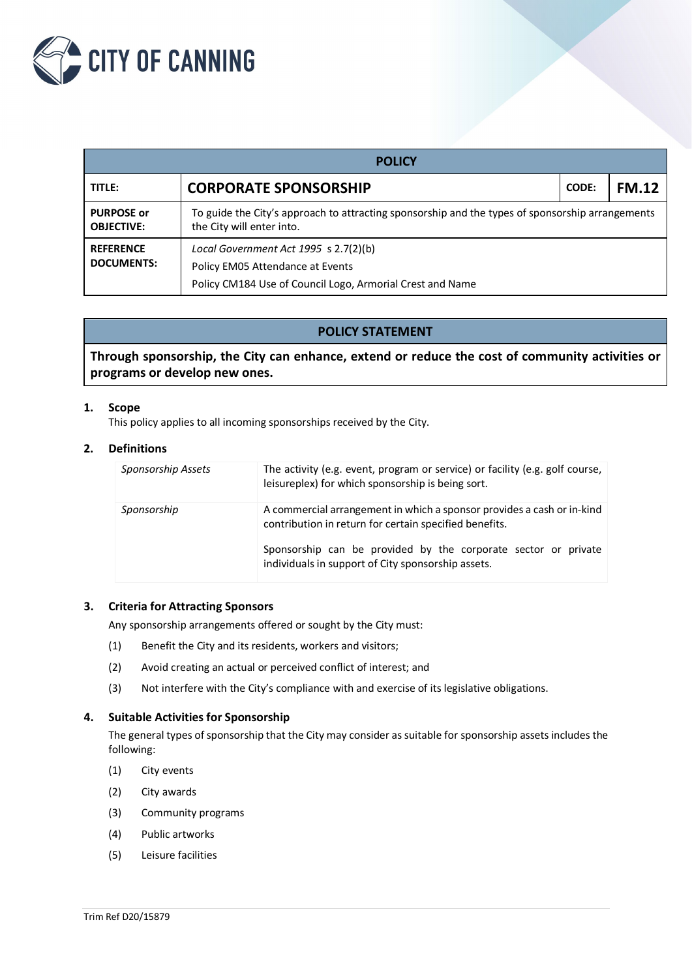

| <b>POLICY</b>                          |                                                                                                                                        |              |              |  |  |  |  |
|----------------------------------------|----------------------------------------------------------------------------------------------------------------------------------------|--------------|--------------|--|--|--|--|
| TITLE:                                 | <b>CORPORATE SPONSORSHIP</b>                                                                                                           | <b>CODE:</b> | <b>FM.12</b> |  |  |  |  |
| <b>PURPOSE or</b><br><b>OBJECTIVE:</b> | To guide the City's approach to attracting sponsorship and the types of sponsorship arrangements<br>the City will enter into.          |              |              |  |  |  |  |
| <b>REFERENCE</b><br><b>DOCUMENTS:</b>  | Local Government Act 1995 s 2.7(2)(b)<br>Policy EM05 Attendance at Events<br>Policy CM184 Use of Council Logo, Armorial Crest and Name |              |              |  |  |  |  |

# **POLICY STATEMENT**

**Through sponsorship, the City can enhance, extend or reduce the cost of community activities or programs or develop new ones.**

## **1. Scope**

This policy applies to all incoming sponsorships received by the City.

## **2. Definitions**

| Sponsorship Assets | The activity (e.g. event, program or service) or facility (e.g. golf course,<br>leisureplex) for which sponsorship is being sort. |
|--------------------|-----------------------------------------------------------------------------------------------------------------------------------|
| Sponsorship        | A commercial arrangement in which a sponsor provides a cash or in-kind<br>contribution in return for certain specified benefits.  |
|                    | Sponsorship can be provided by the corporate sector or private<br>individuals in support of City sponsorship assets.              |

# **3. Criteria for Attracting Sponsors**

Any sponsorship arrangements offered or sought by the City must:

- (1) Benefit the City and its residents, workers and visitors;
- (2) Avoid creating an actual or perceived conflict of interest; and
- (3) Not interfere with the City's compliance with and exercise of its legislative obligations.

## **4. Suitable Activities for Sponsorship**

The general types of sponsorship that the City may consider as suitable for sponsorship assets includes the following:

- (1) City events
- (2) City awards
- (3) Community programs
- (4) Public artworks
- (5) Leisure facilities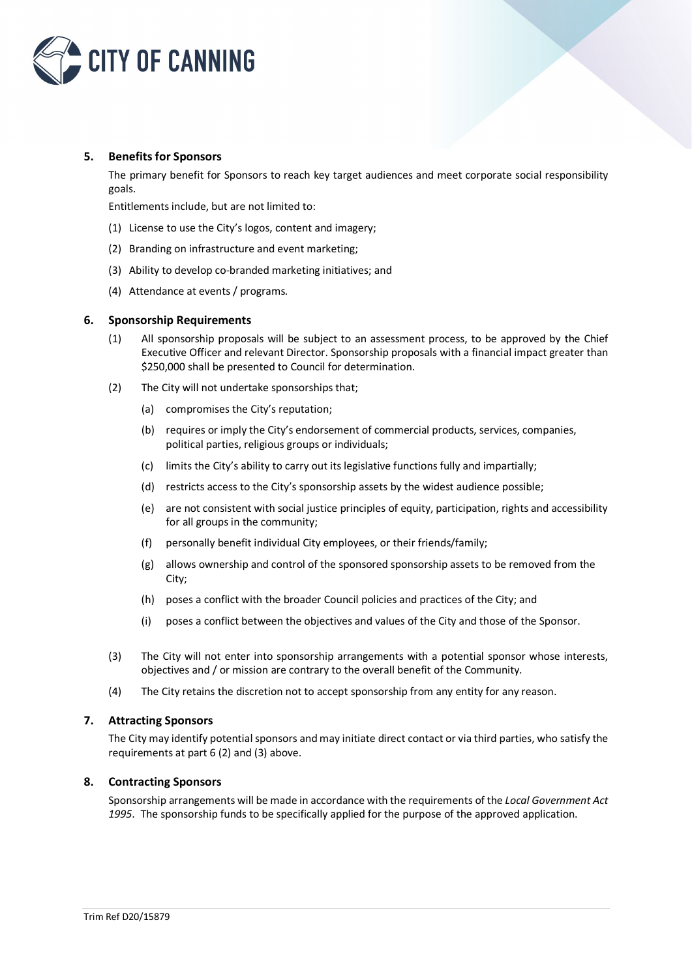

## **5. Benefits for Sponsors**

The primary benefit for Sponsors to reach key target audiences and meet corporate social responsibility goals.

Entitlements include, but are not limited to:

- (1) License to use the City's logos, content and imagery;
- (2) Branding on infrastructure and event marketing;
- (3) Ability to develop co-branded marketing initiatives; and
- (4) Attendance at events / programs.

#### **6. Sponsorship Requirements**

- (1) All sponsorship proposals will be subject to an assessment process, to be approved by the Chief Executive Officer and relevant Director. Sponsorship proposals with a financial impact greater than \$250,000 shall be presented to Council for determination.
- (2) The City will not undertake sponsorships that;
	- (a) compromises the City's reputation;
	- (b) requires or imply the City's endorsement of commercial products, services, companies, political parties, religious groups or individuals;
	- (c) limits the City's ability to carry out its legislative functions fully and impartially;
	- (d) restricts access to the City's sponsorship assets by the widest audience possible;
	- (e) are not consistent with social justice principles of equity, participation, rights and accessibility for all groups in the community;
	- (f) personally benefit individual City employees, or their friends/family;
	- (g) allows ownership and control of the sponsored sponsorship assets to be removed from the City;
	- (h) poses a conflict with the broader Council policies and practices of the City; and
	- (i) poses a conflict between the objectives and values of the City and those of the Sponsor.
- (3) The City will not enter into sponsorship arrangements with a potential sponsor whose interests, objectives and / or mission are contrary to the overall benefit of the Community.
- (4) The City retains the discretion not to accept sponsorship from any entity for any reason.

#### **7. Attracting Sponsors**

The City may identify potential sponsors and may initiate direct contact or via third parties, who satisfy the requirements at part 6 (2) and (3) above.

#### **8. Contracting Sponsors**

Sponsorship arrangements will be made in accordance with the requirements of the *Local Government Act 1995*. The sponsorship funds to be specifically applied for the purpose of the approved application.